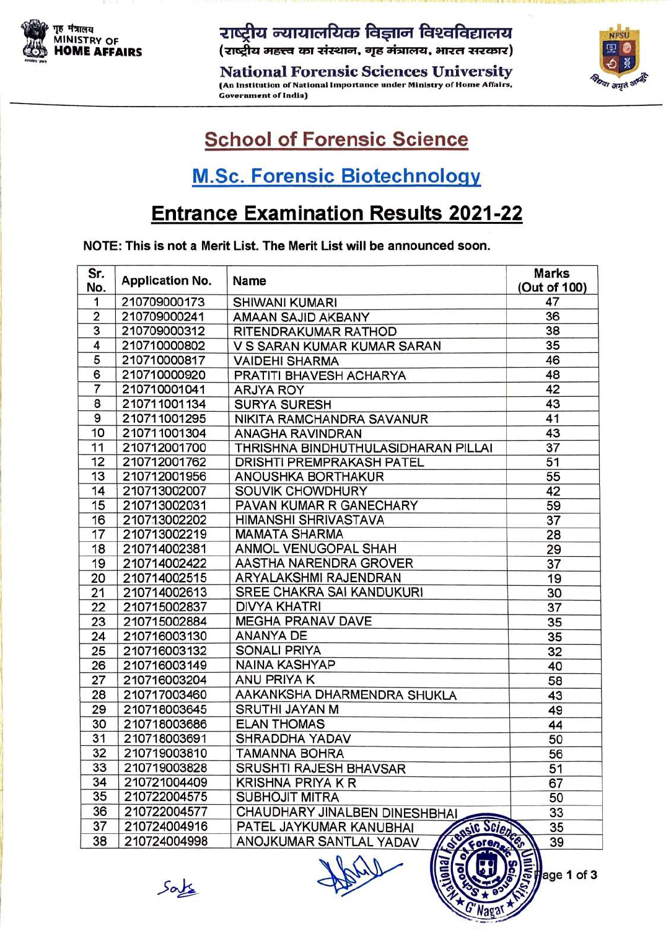

्राष्ट्रीय न्यायालयिक विज्ञान विश्वविद्यालय<br>स्रोति MINISTRY OF (राष्ट्रीय महत्त्व का संस्थान, गृह मंत्रालय, भारत सरकार)<br>National Forensic Sciences University

(An Institution of National Importance under Ministry of Home Affairs, Government of India)



age 1 of 3

## School of Forensic Science

### M.Sc. Forensic Biotechnology

## Entrance Examination Results **2021-22**

NOTE: This is not a Merit List. The Merit List will be announced soon.

| Sr.<br>No.     | <b>Application No.</b> | Name                                     | <b>Marks</b><br>(Out of 100) |
|----------------|------------------------|------------------------------------------|------------------------------|
| 1              | 210709000173           | <b>SHIWANI KUMARI</b>                    | 47                           |
| $\overline{2}$ | 210709000241           | AMAAN SAJID AKBANY                       | 36                           |
| $\overline{3}$ | 210709000312           | RITENDRAKUMAR RATHOD                     | 38                           |
| 4              | 210710000802           | V S SARAN KUMAR KUMAR SARAN              | 35                           |
| 5              | 210710000817           | <b>VAIDEHI SHARMA</b>                    | 46                           |
| 6              | 210710000920           | PRATITI BHAVESH ACHARYA                  | 48                           |
| $\overline{7}$ | 210710001041           | <b>ARJYA ROY</b>                         | 42                           |
| 8              | 210711001134           | <b>SURYA SURESH</b>                      | 43                           |
| 9              | 210711001295           | NIKITA RAMCHANDRA SAVANUR                | 41                           |
| 10             | 210711001304           | <b>ANAGHA RAVINDRAN</b>                  | 43                           |
| 11             | 210712001700           | THRISHNA BINDHUTHULASIDHARAN PILLAI      | 37                           |
| 12             | 210712001762           | <b>DRISHTI PREMPRAKASH PATEL</b>         | 51                           |
| 13             | 210712001956           | ANOUSHKA BORTHAKUR                       | 55                           |
| 14             | 210713002007           | SOUVIK CHOWDHURY                         | 42                           |
| 15             | 210713002031           | PAVAN KUMAR R GANECHARY                  | 59                           |
| 16             | 210713002202           | HIMANSHI SHRIVASTAVA                     | 37                           |
| 17             | 210713002219           | <b>MAMATA SHARMA</b>                     | 28                           |
| 18             | 210714002381           | ANMOL VENUGOPAL SHAH                     | 29                           |
| 19             | 210714002422           | AASTHA NARENDRA GROVER                   | 37                           |
| 20             | 210714002515           | ARYALAKSHMI RAJENDRAN                    | 19                           |
| 21             | 210714002613           | SREE CHAKRA SAI KANDUKURI                | 30                           |
| 22             | 210715002837           | <b>DIVYA KHATRI</b>                      | 37                           |
| 23             | 210715002884           | <b>MEGHA PRANAV DAVE</b>                 | 35                           |
| 24             | 210716003130           | <b>ANANYA DE</b>                         | 35                           |
| 25             | 210716003132           | <b>SONALI PRIYA</b>                      | 32                           |
| 26             | 210716003149           | <b>NAINA KASHYAP</b>                     | 40                           |
| 27             | 210716003204           | ANU PRIYA K                              | 58                           |
| 28             | 210717003460           | AAKANKSHA DHARMENDRA SHUKLA              | 43                           |
| 29             | 210718003645           | <b>SRUTHI JAYAN M</b>                    | 49                           |
| 30             | 210718003686           | <b>ELAN THOMAS</b>                       | 44                           |
| 31             | 210718003691           | SHRADDHA YADAV                           | 50                           |
| 32             | 210719003810           | <b>TAMANNA BOHRA</b>                     | 56                           |
| 33             | 210719003828           | SRUSHTI RAJESH BHAVSAR                   | 51                           |
| 34             | 210721004409           | <b>KRISHNA PRIYA K R</b>                 | 67                           |
| 35             | 210722004575           | <b>SUBHOJIT MITRA</b>                    | 50                           |
| 36             | 210722004577           | CHAUDHARY JINALBEN DINESHBHAI            | 33                           |
| 37             | 210724004916           | PATEL JAYKUMAR KANUBHAI                  | 35                           |
| 38             | 210724004998           | Susic Science<br>ANOJKUMAR SANTLAL YADAV | 39                           |

 $S$ a $\geq$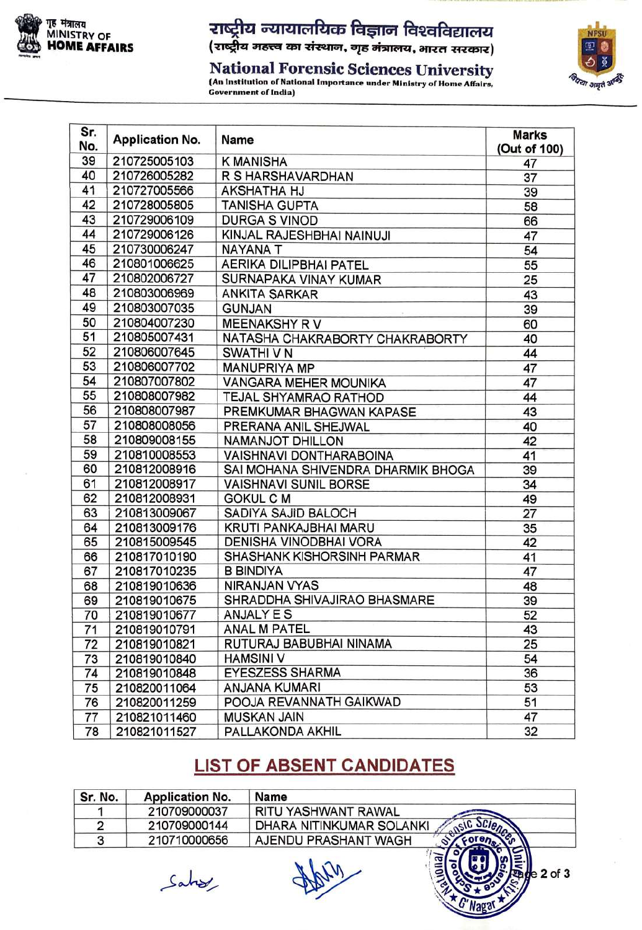

# राष्ट्रीय न्यायालयिक विज्ञान विश्वविद्यालय<br>(राष्ट्रीय महत्त्व का संस्थान, गृह मंत्रालय, भारत सरकार)

National Forensic Sciences University **Government of India)** 



 $2$  of  $3$ 

| Sr.<br>No. | <b>Application No.</b> | Name                               | <b>Marks</b><br>(Out of 100) |
|------------|------------------------|------------------------------------|------------------------------|
| 39         | 210725005103           | <b>K MANISHA</b>                   | 47                           |
| 40         | 210726005282           | R S HARSHAVARDHAN                  | 37                           |
| 41         | 210727005566           | <b>AKSHATHA HJ</b>                 | 39                           |
| 42         | 210728005805           | <b>TANISHA GUPTA</b>               | 58                           |
| 43         | 210729006109           | <b>DURGA S VINOD</b>               | 66                           |
| 44         | 210729006126           | KINJAL RAJESHBHAI NAINUJI          | 47                           |
| 45         | 210730006247           | <b>NAYANA T</b>                    | 54                           |
| 46         | 210801006625           | <b>AERIKA DILIPBHAI PATEL</b>      | 55                           |
| 47         | 210802006727           | SURNAPAKA VINAY KUMAR              | 25                           |
| 48         | 210803006969           | <b>ANKITA SARKAR</b>               | 43                           |
| 49         | 210803007035           | <b>GUNJAN</b>                      | 39                           |
| 50         | 210804007230           | <b>MEENAKSHY RV</b>                | 60                           |
| 51         | 210805007431           | NATASHA CHAKRABORTY CHAKRABORTY    | 40                           |
| 52         | 210806007645           | <b>SWATHIVN</b>                    | 44                           |
| 53         | 210806007702           | <b>MANUPRIYA MP</b>                | 47                           |
| 54         | 210807007802           | <b>VANGARA MEHER MOUNIKA</b>       | 47                           |
| 55         | 210808007982           | TEJAL SHYAMRAO RATHOD              | 44                           |
| 56         | 210808007987           | PREMKUMAR BHAGWAN KAPASE           | 43                           |
| 57         | 210808008056           | PRERANA ANIL SHEJWAL               | 40                           |
| 58         | 210809008155           | <b>NAMANJOT DHILLON</b>            | 42                           |
| 59         | 210810008553           | <b>VAISHNAVI DONTHARABOINA</b>     | 41                           |
| 60         | 210812008916           | SAI MOHANA SHIVENDRA DHARMIK BHOGA | 39                           |
| 61         | 210812008917           | <b>VAISHNAVI SUNIL BORSE</b>       | 34                           |
| 62         | 210812008931           | <b>GOKUL C M</b>                   | 49                           |
| 63         | 210813009067           | SADIYA SAJID BALOCH                | 27                           |
| 64         | 210813009176           | KRUTI PANKAJBHAI MARU              | 35                           |
| 65         | 210815009545           | DENISHA VINODBHAI VORA             | 42                           |
| 66         | 210817010190           | SHASHANK KISHORSINH PARMAR         | 41                           |
| 67         | 210817010235           | <b>B BINDIYA</b>                   | 47                           |
| 68         | 210819010636           | <b>NIRANJAN VYAS</b>               | 48                           |
| 69         | 210819010675           | SHRADDHA SHIVAJIRAO BHASMARE       | 39                           |
| 70         | 210819010677           | <b>ANJALY E S</b>                  | 52                           |
| 71         | 210819010791           | <b>ANAL M PATEL</b>                | 43                           |
| 72         | 210819010821           | RUTURAJ BABUBHAI NINAMA            | 25                           |
| 73         | 210819010840           | <b>HAMSINI V</b>                   | 54                           |
| 74         | 210819010848           | <b>EYESZESS SHARMA</b>             | 36                           |
| 75         | 210820011064           | <b>ANJANA KUMARI</b>               | 53                           |
| 76         | 210820011259           | POOJA REVANNATH GAIKWAD            | 51                           |
| 77         | 210821011460           | <b>MUSKAN JAIN</b>                 | 47                           |
| 78         | 210821011527           | PALLAKONDA AKHIL                   | 32                           |

#### **LIST OF ABSENT CANDIDATES**

| Sr. No. | <b>Application No.</b> | Name                     |
|---------|------------------------|--------------------------|
|         | 210709000037           | RITU YASHWANT RAWAL      |
|         | 210709000144           | DHARA NITINKUMAR SOLANKI |
|         | 210710000656           | AJENDU PRASHANT WAGH     |

Sahry